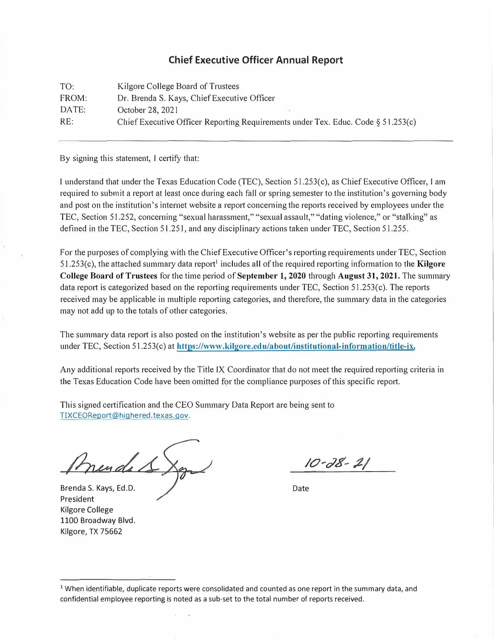## **Chief Executive Officer Annual Report**

| TO:   | Kilgore College Board of Trustees                                                |
|-------|----------------------------------------------------------------------------------|
| FROM: | Dr. Brenda S. Kays, Chief Executive Officer                                      |
| DATE: | October 28, 2021                                                                 |
| RE:   | Chief Executive Officer Reporting Requirements under Tex. Educ. Code § 51.253(c) |

By signing this statement, I certify that:

I understand that under the Texas Education Code (TEC), Section 51.253(c), as Chief Executive Officer, I am required to submit a report at least once during each fall or spring semester to the institution's governing body and post on the institution's internet website a report concerning the reports received by employees under the TEC, Section 51.252, concerning "sexual harassment," "sexual assault," "dating violence," or "stalking" as defined in the TEC, Section 51.251, and any disciplinary actions taken under TEC, Section 51.255.

For the purposes of complying with the Chief Executive Officer's reporting requirements under TEC, Section 51.253(c), the attached summary data report<sup>1</sup> includes all of the required reporting information to the **Kilgore College Board of Trustees** for the time period of **September 1, 2020** through **August 31, 2021.** The summary data report is categorized based on the reporting requirements under TEC, Section 51.253(c). The reports received may be applicable in multiple reporting categories, and therefore, the summary data in the categories may not add up to the totals of other categories.

The summary data report is also posted on the institution's website as per the public reporting requirements under TEC, Section 51.253(c) at https://www.kilgore.edu/about/institutional-information/title-ix.

Any additional reports received by the Title IX Coordinator that do not meet the required reporting criteria in the Texas Education Code have been omitted for the compliance purposes of this specific report.

This signed certification and the CEO Summary Data Report are being sent to TIXCEOReport@highered.texas.gov.

murdes.

 $10 - 28 - 21$ 

Date

Brenda S. Kays, Ed.D. President Kilgore College 1100 Broadway Blvd. Kilgore, TX 75662

<sup>1</sup> When identifiable, duplicate reports were consolidated and counted as one report in the summary data, and confidential employee reporting is noted as a sub-set to the total number of reports received.